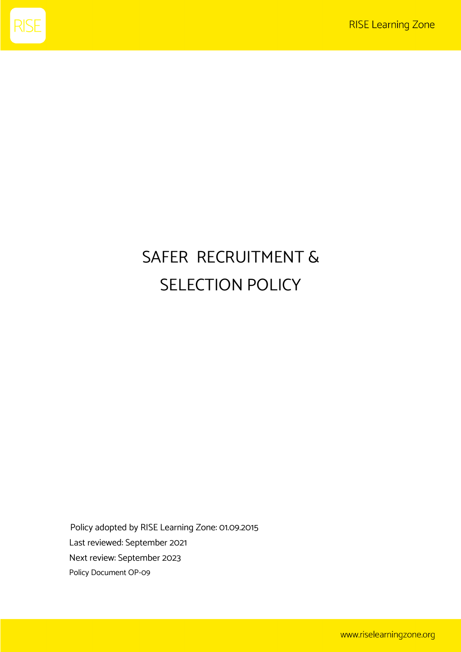

# SAFER RECRUITMENT & SELECTION POLICY

Policy adopted by RISE Learning Zone: 01.09.2015 Last reviewed: September 2021 Next review: September 2023 Policy Document OP-09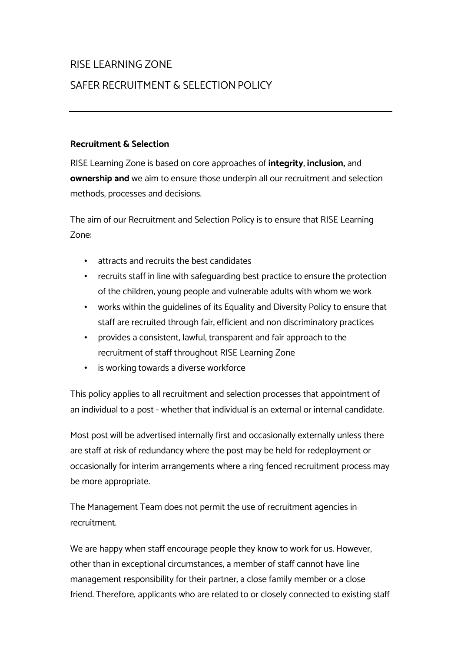# RISE LEARNING ZONE

# SAFER RECRUITMENT & SELECTION POLICY

#### **Recruitment & Selection**

RISE Learning Zone is based on core approaches of **integrity**, **inclusion,** and **ownership and** we aim to ensure those underpin all our recruitment and selection methods, processes and decisions.

The aim of our Recruitment and Selection Policy is to ensure that RISE Learning Zone:

- attracts and recruits the best candidates
- recruits staff in line with safeguarding best practice to ensure the protection of the children, young people and vulnerable adults with whom we work
- works within the guidelines of its Equality and Diversity Policy to ensure that staff are recruited through fair, efficient and non discriminatory practices
- provides a consistent, lawful, transparent and fair approach to the recruitment of staff throughout RISE Learning Zone
- is working towards a diverse workforce

This policy applies to all recruitment and selection processes that appointment of an individual to a post - whether that individual is an external or internal candidate.

Most post will be advertised internally first and occasionally externally unless there are staff at risk of redundancy where the post may be held for redeployment or occasionally for interim arrangements where a ring fenced recruitment process may be more appropriate.

The Management Team does not permit the use of recruitment agencies in recruitment.

We are happy when staff encourage people they know to work for us. However, other than in exceptional circumstances, a member of staff cannot have line management responsibility for their partner, a close family member or a close friend. Therefore, applicants who are related to or closely connected to existing staff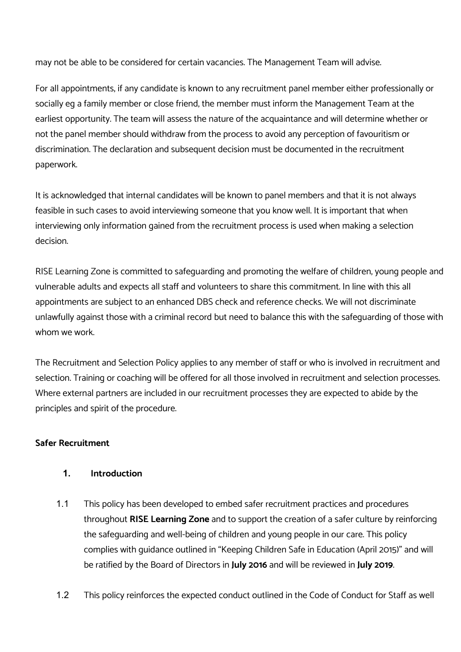may not be able to be considered for certain vacancies. The Management Team will advise.

For all appointments, if any candidate is known to any recruitment panel member either professionally or socially eg a family member or close friend, the member must inform the Management Team at the earliest opportunity. The team will assess the nature of the acquaintance and will determine whether or not the panel member should withdraw from the process to avoid any perception of favouritism or discrimination. The declaration and subsequent decision must be documented in the recruitment paperwork.

It is acknowledged that internal candidates will be known to panel members and that it is not always feasible in such cases to avoid interviewing someone that you know well. It is important that when interviewing only information gained from the recruitment process is used when making a selection decision.

RISE Learning Zone is committed to safeguarding and promoting the welfare of children, young people and vulnerable adults and expects all staff and volunteers to share this commitment. In line with this all appointments are subject to an enhanced DBS check and reference checks. We will not discriminate unlawfully against those with a criminal record but need to balance this with the safeguarding of those with whom we work.

The Recruitment and Selection Policy applies to any member of staff or who is involved in recruitment and selection. Training or coaching will be offered for all those involved in recruitment and selection processes. Where external partners are included in our recruitment processes they are expected to abide by the principles and spirit of the procedure.

# **Safer Recruitment**

# **1. Introduction**

- 1.1 This policy has been developed to embed safer recruitment practices and procedures throughout **RISE Learning Zone** and to support the creation of a safer culture by reinforcing the safeguarding and well-being of children and young people in our care. This policy complies with guidance outlined in "Keeping Children Safe in Education (April 2015)" and will be ratified by the Board of Directors in **July 2016** and will be reviewed in **July 2019**.
- 1.2 This policy reinforces the expected conduct outlined in the Code of Conduct for Staff as well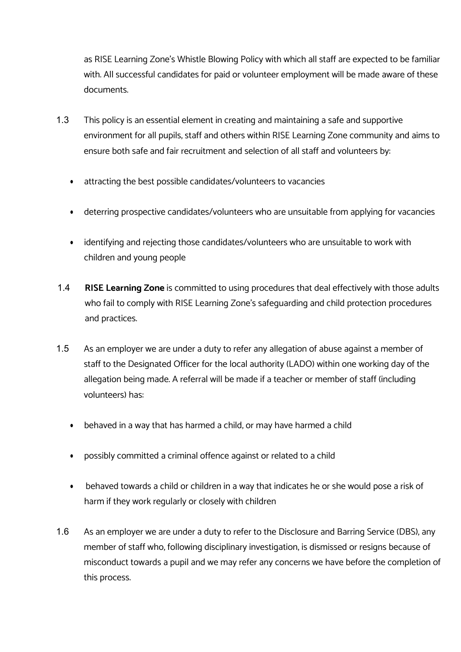as RISE Learning Zone's Whistle Blowing Policy with which all staff are expected to be familiar with. All successful candidates for paid or volunteer employment will be made aware of these documents.

- 1.3 This policy is an essential element in creating and maintaining a safe and supportive environment for all pupils, staff and others within RISE Learning Zone community and aims to ensure both safe and fair recruitment and selection of all staff and volunteers by:
	- attracting the best possible candidates/volunteers to vacancies
	- deterring prospective candidates/volunteers who are unsuitable from applying for vacancies
	- identifying and rejecting those candidates/volunteers who are unsuitable to work with children and young people
- 1.4 **RISE Learning Zone** is committed to using procedures that deal effectively with those adults who fail to comply with RISE Learning Zone's safeguarding and child protection procedures and practices.
- 1.5 As an employer we are under a duty to refer any allegation of abuse against a member of staff to the Designated Officer for the local authority (LADO) within one working day of the allegation being made. A referral will be made if a teacher or member of staff (including volunteers) has:
	- behaved in a way that has harmed a child, or may have harmed a child
	- possibly committed a criminal offence against or related to a child
	- behaved towards a child or children in a way that indicates he or she would pose a risk of harm if they work regularly or closely with children
- 1.6 As an employer we are under a duty to refer to the Disclosure and Barring Service (DBS), any member of staff who, following disciplinary investigation, is dismissed or resigns because of misconduct towards a pupil and we may refer any concerns we have before the completion of this process.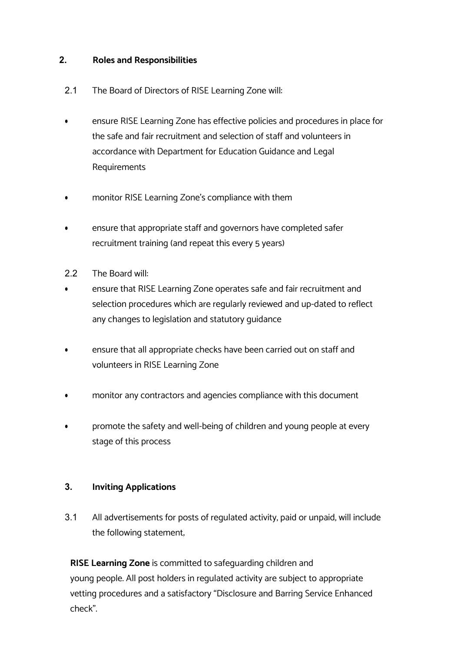#### **2. Roles and Responsibilities**

- 2.1 The Board of Directors of RISE Learning Zone will:
- ensure RISE Learning Zone has effective policies and procedures in place for the safe and fair recruitment and selection of staff and volunteers in accordance with Department for Education Guidance and Legal Requirements
- monitor RISE Learning Zone's compliance with them
- ensure that appropriate staff and governors have completed safer recruitment training (and repeat this every 5 years)
- 2.2 The Board will:
- ensure that RISE Learning Zone operates safe and fair recruitment and selection procedures which are regularly reviewed and up-dated to reflect any changes to legislation and statutory guidance
- ensure that all appropriate checks have been carried out on staff and volunteers in RISE Learning Zone
- monitor any contractors and agencies compliance with this document
- promote the safety and well-being of children and young people at every stage of this process

# **3. Inviting Applications**

3.1 All advertisements for posts of regulated activity, paid or unpaid, will include the following statement;

**RISE Learning Zone** is committed to safeguarding children and young people. All post holders in regulated activity are subject to appropriate vetting procedures and a satisfactory "Disclosure and Barring Service Enhanced check".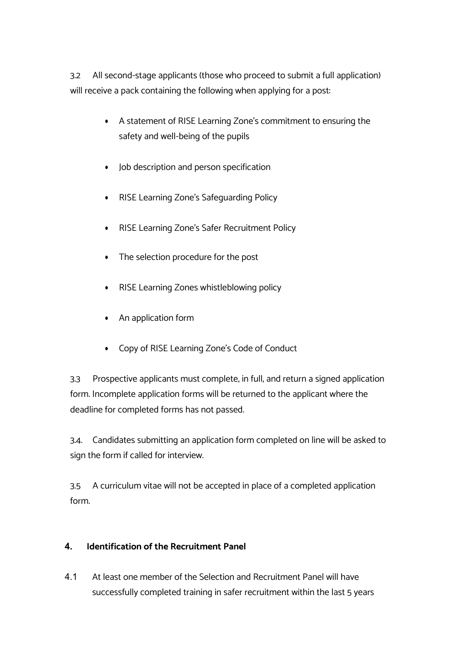3.2 All second-stage applicants (those who proceed to submit a full application) will receive a pack containing the following when applying for a post:

- A statement of RISE Learning Zone's commitment to ensuring the safety and well-being of the pupils
- Job description and person specification
- RISE Learning Zone's Safeguarding Policy
- RISE Learning Zone's Safer Recruitment Policy
- The selection procedure for the post
- RISE Learning Zones whistleblowing policy
- An application form
- Copy of RISE Learning Zone's Code of Conduct

3.3 Prospective applicants must complete, in full, and return a signed application form. Incomplete application forms will be returned to the applicant where the deadline for completed forms has not passed.

3.4. Candidates submitting an application form completed on line will be asked to sign the form if called for interview.

3.5 A curriculum vitae will not be accepted in place of a completed application form.

# **4. Identification of the Recruitment Panel**

4.1 At least one member of the Selection and Recruitment Panel will have successfully completed training in safer recruitment within the last 5 years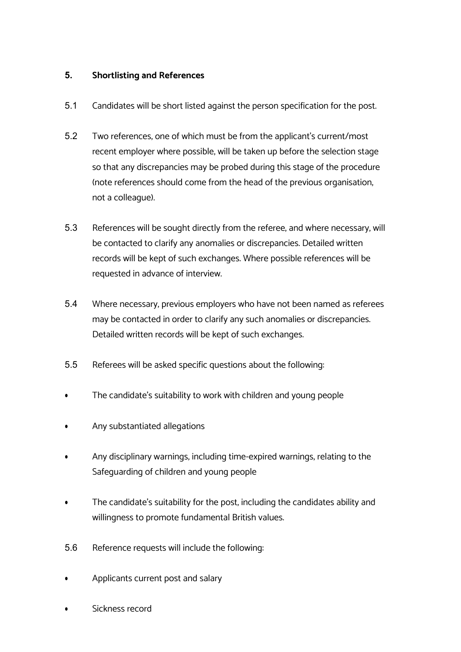#### **5. Shortlisting and References**

- 5.1 Candidates will be short listed against the person specification for the post.
- 5.2 Two references, one of which must be from the applicant's current/most recent employer where possible, will be taken up before the selection stage so that any discrepancies may be probed during this stage of the procedure (note references should come from the head of the previous organisation, not a colleague).
- 5.3 References will be sought directly from the referee, and where necessary, will be contacted to clarify any anomalies or discrepancies. Detailed written records will be kept of such exchanges. Where possible references will be requested in advance of interview.
- 5.4 Where necessary, previous employers who have not been named as referees may be contacted in order to clarify any such anomalies or discrepancies. Detailed written records will be kept of such exchanges.
- 5.5 Referees will be asked specific questions about the following:
- The candidate's suitability to work with children and young people
- Any substantiated allegations
- Any disciplinary warnings, including time-expired warnings, relating to the Safeguarding of children and young people
- The candidate's suitability for the post, including the candidates ability and willingness to promote fundamental British values.
- 5.6 Reference requests will include the following:
- Applicants current post and salary
- Sickness record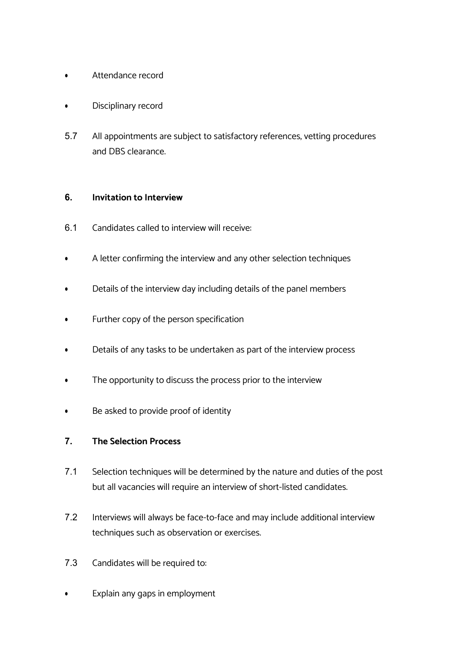- Attendance record
- Disciplinary record
- 5.7 All appointments are subject to satisfactory references, vetting procedures and DBS clearance.

#### **6. Invitation to Interview**

- 6.1 Candidates called to interview will receive:
- A letter confirming the interview and any other selection techniques
- Details of the interview day including details of the panel members
- Further copy of the person specification
- Details of any tasks to be undertaken as part of the interview process
- The opportunity to discuss the process prior to the interview
- Be asked to provide proof of identity

#### **7. The Selection Process**

- 7.1 Selection techniques will be determined by the nature and duties of the post but all vacancies will require an interview of short-listed candidates.
- 7.2 Interviews will always be face-to-face and may include additional interview techniques such as observation or exercises.
- 7.3 Candidates will be required to:
- Explain any gaps in employment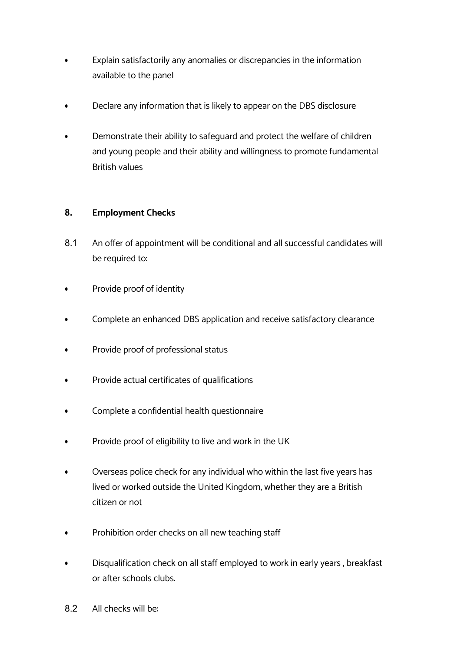- Explain satisfactorily any anomalies or discrepancies in the information available to the panel
- Declare any information that is likely to appear on the DBS disclosure
- Demonstrate their ability to safeguard and protect the welfare of children and young people and their ability and willingness to promote fundamental British values

# **8. Employment Checks**

- 8.1 An offer of appointment will be conditional and all successful candidates will be required to:
- Provide proof of identity
- Complete an enhanced DBS application and receive satisfactory clearance
- Provide proof of professional status
- Provide actual certificates of qualifications
- Complete a confidential health questionnaire
- Provide proof of eligibility to live and work in the UK
- Overseas police check for any individual who within the last five years has lived or worked outside the United Kingdom, whether they are a British citizen or not
- Prohibition order checks on all new teaching staff
- Disqualification check on all staff employed to work in early years , breakfast or after schools clubs.
- 8.2 All checks will be: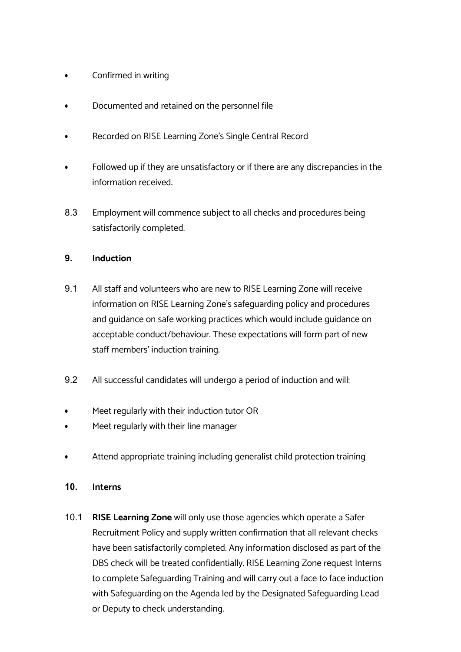- Confirmed in writing
- Documented and retained on the personnel file
- Recorded on RISE Learning Zone's Single Central Record
- Followed up if they are unsatisfactory or if there are any discrepancies in the information received.
- 8.3 Employment will commence subject to all checks and procedures being satisfactorily completed.

# **9. Induction**

- 9.1 All staff and volunteers who are new to RISE Learning Zone will receive information on RISE Learning Zone's safeguarding policy and procedures and guidance on safe working practices which would include guidance on acceptable conduct/behaviour. These expectations will form part of new staff members' induction training.
- 9.2 All successful candidates will undergo a period of induction and will:
- Meet regularly with their induction tutor OR
- Meet regularly with their line manager
- Attend appropriate training including generalist child protection training
- **10. Interns**
- 10.1 **RISE Learning Zone** will only use those agencies which operate a Safer Recruitment Policy and supply written confirmation that all relevant checks have been satisfactorily completed. Any information disclosed as part of the DBS check will be treated confidentially. RISE Learning Zone request Interns to complete Safeguarding Training and will carry out a face to face induction with Safeguarding on the Agenda led by the Designated Safeguarding Lead or Deputy to check understanding.